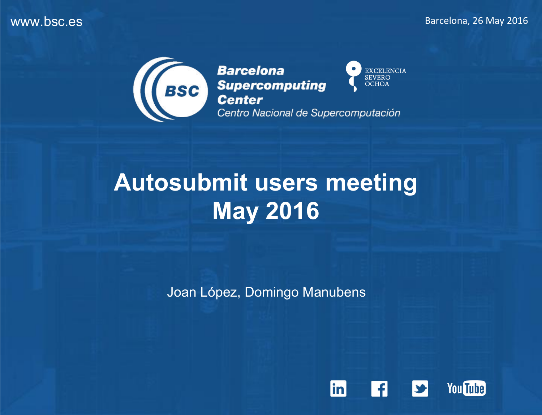

**Barcelona** EXCELENCIA<br>SEVERO<br>OCHOA Barcelona<br>Supercomputing<br>Center Centro Nacional de Supercomputación



Joan López, Domingo Manubens

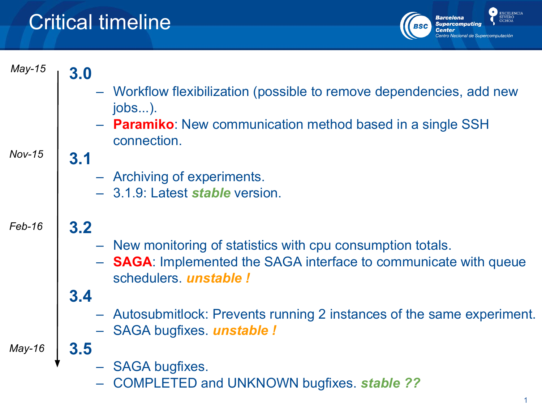# Critical timeline

**3.0**

**3.1**

**3.2**



*May-15*

- Workflow flexibilization (possible to remove dependencies, add new jobs...).
	- **Paramiko**: New communication method based in a single SSH connection.

#### *Nov-15*

- Archiving of experiments.
- 3.1.9: Latest *stable* version.

### *Feb-16*

- New monitoring of statistics with cpu consumption totals.
- **SAGA**: Implemented the SAGA interface to communicate with queue schedulers. *unstable !*

### **3.4**

**3.5**

- Autosubmitlock: Prevents running 2 instances of the same experiment.
- SAGA bugfixes. *unstable !*

*May-16*

- SAGA bugfixes.
- COMPLETED and UNKNOWN bugfixes. *stable ??*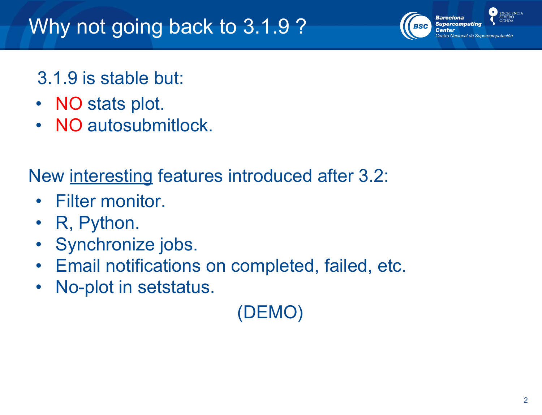### 3.1.9 is stable but:

- NO stats plot.
- NO autosubmitlock.

New interesting features introduced after 3.2:

- Filter monitor.
- R, Python.
- Synchronize jobs.
- Email notifications on completed, failed, etc.
- No-plot in setstatus.

(DEMO)

**EXCELENCIA** 

**Barcelona Supercomputing**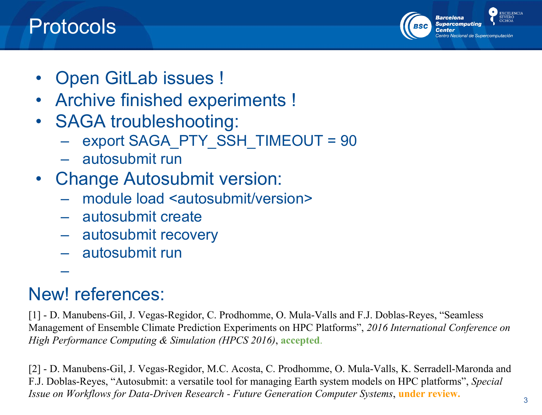## Protocols



- Open GitLab issues !
- Archive finished experiments !
- SAGA troubleshooting:
	- export SAGA\_PTY\_SSH\_TIMEOUT = 90
	- autosubmit run
- Change Autosubmit version:
	- module load <autosubmit/version>
	- autosubmit create
	- autosubmit recovery
	- autosubmit run

## New! references:

–

[1] - D. Manubens-Gil, J. Vegas-Regidor, C. Prodhomme, O. Mula-Valls and F.J. Doblas-Reyes, "Seamless Management of Ensemble Climate Prediction Experiments on HPC Platforms", *2016 International Conference on High Performance Computing & Simulation (HPCS 2016)*, **accepted**.

[2] - D. Manubens-Gil, J. Vegas-Regidor, M.C. Acosta, C. Prodhomme, O. Mula-Valls, K. Serradell-Maronda and F.J. Doblas-Reyes, "Autosubmit: a versatile tool for managing Earth system models on HPC platforms", *Special Issue on Workflows for Data-Driven Research - Future Generation Computer Systems*, **under review.**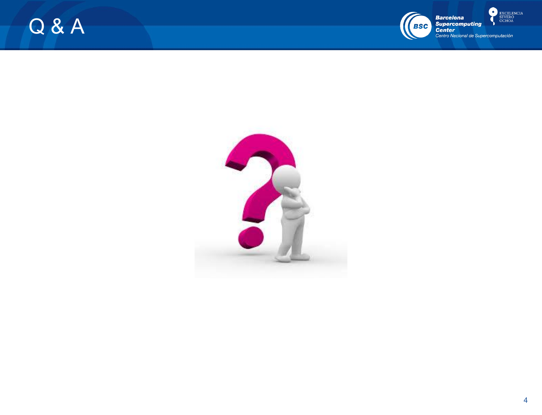